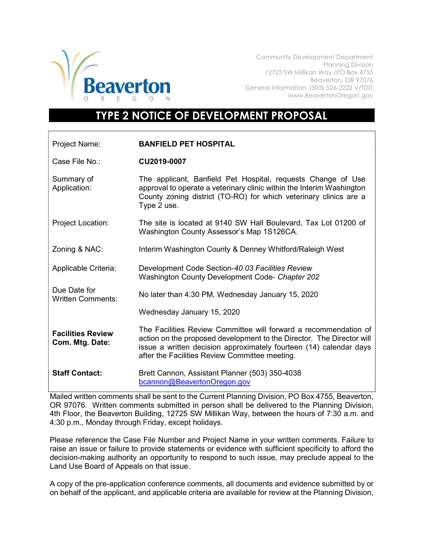

Community Development Department Planning Division 12725 SW Millikan Way /PO Box 4755 Beaverton, OR 97076 General Information: (503) 526-2222 V/TDD www.BeavertonOregon.gov

## TYPE 2 NOTICE OF DEVELOPMENT PROPOSAL

| Project Name:                               | <b>BANFIELD PET HOSPITAL</b>                                                                                                                                                                                                                                      |
|---------------------------------------------|-------------------------------------------------------------------------------------------------------------------------------------------------------------------------------------------------------------------------------------------------------------------|
| Case File No.:                              | CU2019-0007                                                                                                                                                                                                                                                       |
| Summary of<br>Application:                  | The applicant, Banfield Pet Hospital, requests Change of Use<br>approval to operate a veterinary clinic within the Interim Washington<br>County zoning district (TO-RO) for which veterinary clinics are a<br>Type 2 use.                                         |
| Project Location:                           | The site is located at 9140 SW Hall Boulevard, Tax Lot 01200 of<br>Washington County Assessor's Map 1S126CA.                                                                                                                                                      |
| Zoning & NAC:                               | Interim Washington County & Denney Whitford/Raleigh West                                                                                                                                                                                                          |
| Applicable Criteria:                        | Development Code Section-40.03 Facilities Review<br>Washington County Development Code- Chapter 202                                                                                                                                                               |
| Due Date for<br><b>Written Comments:</b>    | No later than 4:30 PM, Wednesday January 15, 2020                                                                                                                                                                                                                 |
|                                             | Wednesday January 15, 2020                                                                                                                                                                                                                                        |
| <b>Facilities Review</b><br>Com. Mtg. Date: | The Facilities Review Committee will forward a recommendation of<br>action on the proposed development to the Director. The Director will<br>issue a written decision approximately fourteen (14) calendar days<br>after the Facilities Review Committee meeting. |
| <b>Staff Contact:</b>                       | Brett Cannon, Assistant Planner (503) 350-4038<br>bcannon@BeavertonOregon.gov                                                                                                                                                                                     |

Mailed written comments shall be sent to the Current Planning Division, PO Box 4755, Beaverton, OR 97076. Written comments submitted in person shall be delivered to the Planning Division, 4th Floor, the Beaverton Building, 12725 SW Millikan Way, between the hours of 7:30 a.m. and 4:30 p.m., Monday through Friday, except holidays.

Please reference the Case File Number and Project Name in your written comments. Failure to raise an issue or failure to provide statements or evidence with sufficient specificity to afford the decision-making authority an opportunity to respond to such issue, may preclude appeal to the Land Use Board of Appeals on that issue.

A copy of the pre-application conference comments, all documents and evidence submitted by or on behalf of the applicant, and applicable criteria are available for review at the Planning Division,